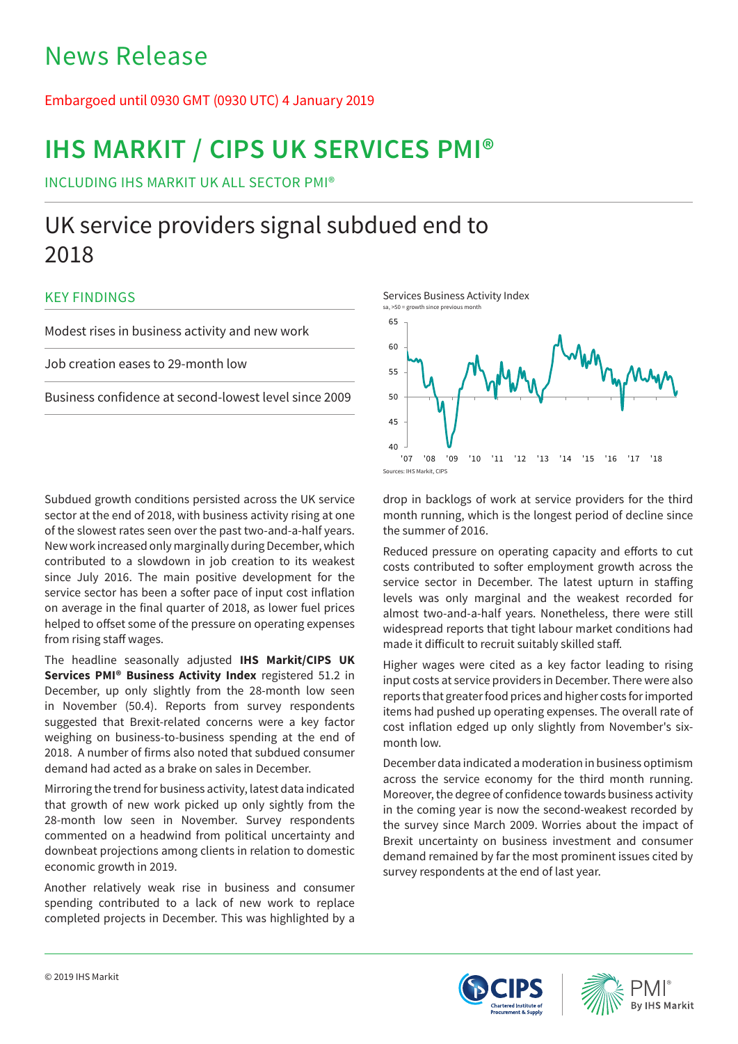# News Release

# Embargoed until 0930 GMT (0930 UTC) 4 January 2019

# **IHS MARKIT / CIPS UK SERVICES PMI®**

INCLUDING IHS MARKIT UK ALL SECTOR PMI®

# UK service providers signal subdued end to 2018

## KEY FINDINGS

Modest rises in business activity and new work

Job creation eases to 29-month low

Business confidence at second-lowest level since 2009

Subdued growth conditions persisted across the UK service sector at the end of 2018, with business activity rising at one of the slowest rates seen over the past two-and-a-half years. New work increased only marginally during December, which contributed to a slowdown in job creation to its weakest since July 2016. The main positive development for the service sector has been a softer pace of input cost inflation on average in the final quarter of 2018, as lower fuel prices helped to offset some of the pressure on operating expenses from rising staff wages.

The headline seasonally adjusted **IHS Markit/CIPS UK Services PMI® Business Activity Index** registered 51.2 in December, up only slightly from the 28-month low seen in November (50.4). Reports from survey respondents suggested that Brexit-related concerns were a key factor weighing on business-to-business spending at the end of 2018. A number of firms also noted that subdued consumer demand had acted as a brake on sales in December.

Mirroring the trend for business activity, latest data indicated that growth of new work picked up only sightly from the 28-month low seen in November. Survey respondents commented on a headwind from political uncertainty and downbeat projections among clients in relation to domestic economic growth in 2019.

Another relatively weak rise in business and consumer spending contributed to a lack of new work to replace completed projects in December. This was highlighted by a



drop in backlogs of work at service providers for the third month running, which is the longest period of decline since the summer of 2016.

Reduced pressure on operating capacity and efforts to cut costs contributed to softer employment growth across the service sector in December. The latest upturn in staffing levels was only marginal and the weakest recorded for almost two-and-a-half years. Nonetheless, there were still widespread reports that tight labour market conditions had made it difficult to recruit suitably skilled staff.

Higher wages were cited as a key factor leading to rising input costs at service providers in December. There were also reports that greater food prices and higher costs for imported items had pushed up operating expenses. The overall rate of cost inflation edged up only slightly from November's sixmonth low.

December data indicated a moderation in business optimism across the service economy for the third month running. Moreover, the degree of confidence towards business activity in the coming year is now the second-weakest recorded by the survey since March 2009. Worries about the impact of Brexit uncertainty on business investment and consumer demand remained by far the most prominent issues cited by survey respondents at the end of last year.



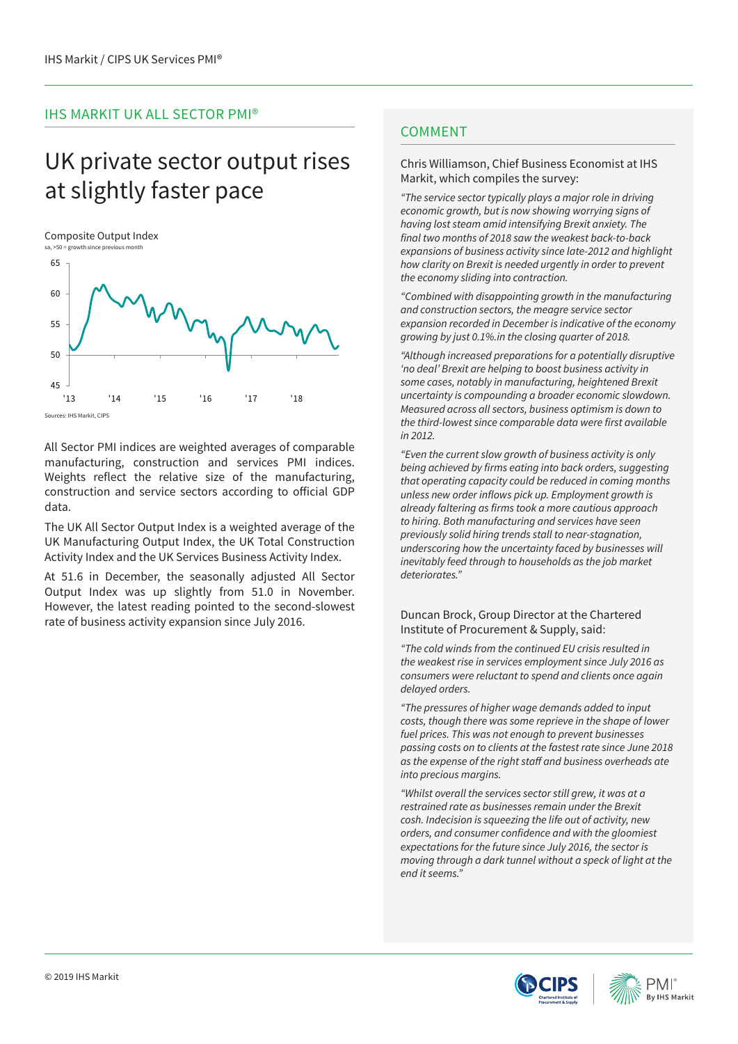## IHS MARKIT UK ALL SECTOR PMI®

# UK private sector output rises at slightly faster pace

### Composite Output Index



All Sector PMI indices are weighted averages of comparable manufacturing, construction and services PMI indices. Weights reflect the relative size of the manufacturing, construction and service sectors according to official GDP data.

The UK All Sector Output Index is a weighted average of the UK Manufacturing Output Index, the UK Total Construction Activity Index and the UK Services Business Activity Index.

At 51.6 in December, the seasonally adjusted All Sector Output Index was up slightly from 51.0 in November. However, the latest reading pointed to the second-slowest rate of business activity expansion since July 2016.

## **COMMENT**

## Chris Williamson, Chief Business Economist at IHS Markit, which compiles the survey:

*"The service sector typically plays a major role in driving economic growth, but is now showing worrying signs of having lost steam amid intensifying Brexit anxiety. The*  final two months of 2018 saw the weakest back-to-back expansions of business activity since late-2012 and highlight *how clarity on Brexit is needed urgently in order to prevent the economy sliding into contraction.*

*"Combined with disappointing growth in the manufacturing and construction sectors, the meagre service sector expansion recorded in December is indicative of the economy*  growing by just 0.1%.in the closing quarter of 2018.

*"Although increased preparations for a potentially disruptive 'no deal' Brexit are helping to boost business activity in some cases, notably in manufacturing, heightened Brexit uncertainty is compounding a broader economic slowdown. Measured across all sectors, business optimism is down to*  the third-lowest since comparable data were first available in 2012.

*"Even the current slow growth of business activity is only*  being achieved by firms eating into back orders, suggesting *that operating capacity could be reduced in coming months*  unless new order inflows pick up. Employment growth is already faltering as firms took a more cautious approach *to hiring. Both manufacturing and services have seen*  previously solid hiring trends stall to near-stagnation, *underscoring how the uncertainty faced by businesses will*  inevitably feed through to households as the job market *deteriorates."*

## Duncan Brock, Group Director at the Chartered Institute of Procurement & Supply, said:

*"The cold winds from the continued EU crisis resulted in*  the weakest rise in services employment since July 2016 as *consumers were reluctant to spend and clients once again delayed orders.* 

*"The pressures of higher wage demands added to input costs, though there was some reprieve in the shape of lower fuel prices. This was not enough to prevent businesses*  passing costs on to clients at the fastest rate since June 2018 as the expense of the right staff and business overheads ate *into precious margins.* 

*"Whilst overall the services sector still grew, it was at a restrained rate as businesses remain under the Brexit*  cosh. Indecision is squeezing the life out of activity, new orders, and consumer confidence and with the gloomiest expectations for the future since July 2016, the sector is moving through a dark tunnel without a speck of light at the *end it seems."*